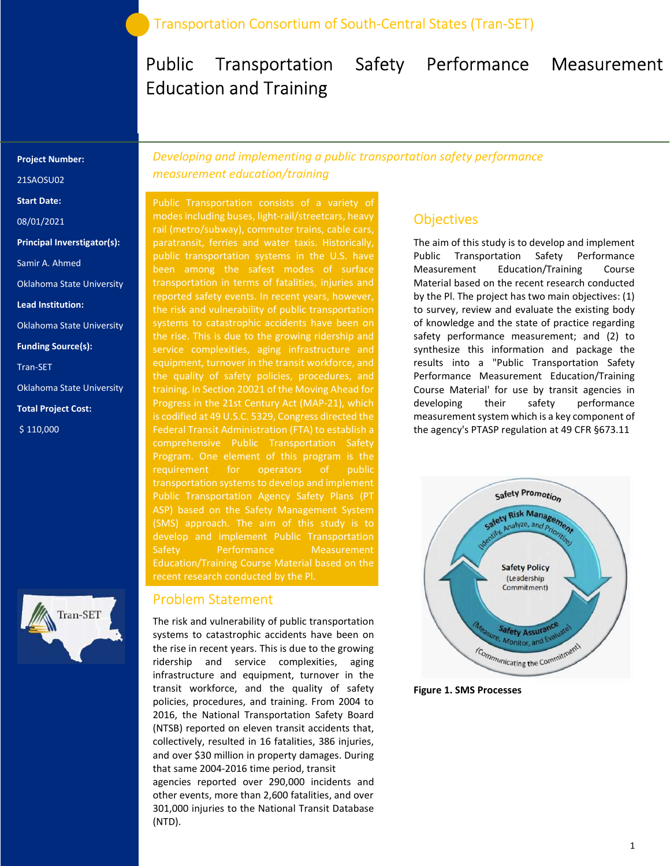## Public Transportation Safety Performance Measurement Education and Training

#### Project Number:

21SAOSU02

Start Date:

08/01/2021

Principal Inverstigator(s):

Samir A. Ahmed

Oklahoma State University

Lead Institution:

Oklahoma State University

Funding Source(s):

Tran-SET

Oklahoma State University

Total Project Cost:

\$ 110,000



Developing and implementing a public transportation safety performance measurement education/training

Public Transportation consists of a variety of modes including buses, light-rail/streetcars, heavy rail (metro/subway), commuter trains, cable cars, public transportation systems in the U.S. have been among the safest modes of surface reported safety events. In recent years, however, the risk and vulnerability of public transportation systems to catastrophic accidents have been on the rise. This is due to the growing ridership and service complexities, aging infrastructure and equipment, turnover in the transit workforce, and training. In Section 20021 of the Moving Ahead for Progress in the 21st Century Act (MAP-21), which is codified at 49 U.S.C. 5329, Congress directed the Federal Transit Administration (FTA) to establish a Program. One element of this program is the Public Transportation Agency Safety Plans (PT ASP) based on the Safety Management System (SMS) approach. The aim of this study is to Safety Performance Measurement Education/Training Course Material based on the

#### Problem Statement

The risk and vulnerability of public transportation systems to catastrophic accidents have been on the rise in recent years. This is due to the growing ridership and service complexities, aging infrastructure and equipment, turnover in the transit workforce, and the quality of safety policies, procedures, and training. From 2004 to 2016, the National Transportation Safety Board (NTSB) reported on eleven transit accidents that, collectively, resulted in 16 fatalities, 386 injuries, and over \$30 million in property damages. During that same 2004-2016 time period, transit

agencies reported over 290,000 incidents and other events, more than 2,600 fatalities, and over 301,000 injuries to the National Transit Database (NTD).

### **Objectives**

The aim of this study is to develop and implement Public Transportation Safety Performance Measurement Education/Training Course Material based on the recent research conducted by the Pl. The project has two main objectives: (1) to survey, review and evaluate the existing body of knowledge and the state of practice regarding safety performance measurement; and (2) to synthesize this information and package the results into a "Public Transportation Safety Performance Measurement Education/Training Course Material' for use by transit agencies in developing their safety performance measurement system which is a key component of the agency's PTASP regulation at 49 CFR §673.11



Figure 1. SMS Processes